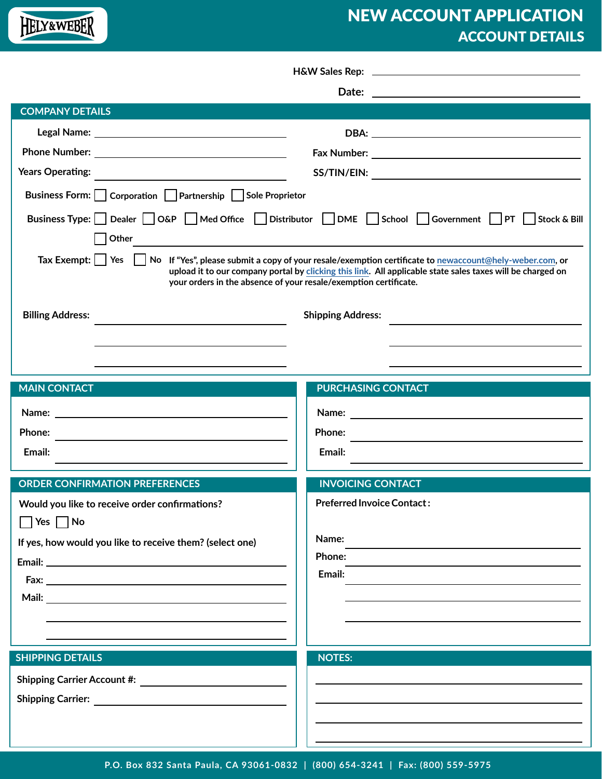# NEW ACCOUNT APPLICATION ACCOUNT DETAILS

|                                                                                                                                                                                                                                                                                                                                                                                                                                                     | Date: $\qquad \qquad$             |  |  |  |  |
|-----------------------------------------------------------------------------------------------------------------------------------------------------------------------------------------------------------------------------------------------------------------------------------------------------------------------------------------------------------------------------------------------------------------------------------------------------|-----------------------------------|--|--|--|--|
| <b>COMPANY DETAILS</b>                                                                                                                                                                                                                                                                                                                                                                                                                              |                                   |  |  |  |  |
|                                                                                                                                                                                                                                                                                                                                                                                                                                                     | DBA: www.astronometer.com         |  |  |  |  |
|                                                                                                                                                                                                                                                                                                                                                                                                                                                     |                                   |  |  |  |  |
| <b>Years Operating:</b>                                                                                                                                                                                                                                                                                                                                                                                                                             |                                   |  |  |  |  |
| Business Form:   Corporation   Partnership   Sole Proprietor                                                                                                                                                                                                                                                                                                                                                                                        |                                   |  |  |  |  |
| Business Type: Dealer   O&P   Med Office   Distributor   DME   School   Government   PT   Stock & Bill                                                                                                                                                                                                                                                                                                                                              |                                   |  |  |  |  |
|                                                                                                                                                                                                                                                                                                                                                                                                                                                     |                                   |  |  |  |  |
| Other<br><u> 1980 - Johann Barn, mars ann an t-Amhainn an t-Amhainn an t-Amhainn an t-Amhainn an t-Amhainn an t-Amhainn an</u><br>Tax Exempt:     Yes     No If "Yes", please submit a copy of your resale/exemption certificate to newaccount@hely-weber.com, or<br>upload it to our company portal by clicking this link. All applicable state sales taxes will be charged on<br>your orders in the absence of your resale/exemption certificate. |                                   |  |  |  |  |
| <b>Billing Address:</b>                                                                                                                                                                                                                                                                                                                                                                                                                             | <b>Shipping Address:</b>          |  |  |  |  |
|                                                                                                                                                                                                                                                                                                                                                                                                                                                     |                                   |  |  |  |  |
|                                                                                                                                                                                                                                                                                                                                                                                                                                                     |                                   |  |  |  |  |
|                                                                                                                                                                                                                                                                                                                                                                                                                                                     |                                   |  |  |  |  |
| <b>MAIN CONTACT</b>                                                                                                                                                                                                                                                                                                                                                                                                                                 | <b>PURCHASING CONTACT</b>         |  |  |  |  |
| Name: Name: Name and Name and Name and Name and Name and Name and Name and Name and Name and Name and Name and Name and Name and Name and Name and Name and Name and Name and Name and Name and Name and Name and Name and Nam                                                                                                                                                                                                                      |                                   |  |  |  |  |
| Phone:                                                                                                                                                                                                                                                                                                                                                                                                                                              | <b>Phone:</b>                     |  |  |  |  |
| Email:                                                                                                                                                                                                                                                                                                                                                                                                                                              | Email:                            |  |  |  |  |
| <b>ORDER CONFIRMATION PREFERENCES</b>                                                                                                                                                                                                                                                                                                                                                                                                               | <b>INVOICING CONTACT</b>          |  |  |  |  |
| Would you like to receive order confirmations?                                                                                                                                                                                                                                                                                                                                                                                                      | <b>Preferred Invoice Contact:</b> |  |  |  |  |
| $\Box$ Yes $\Box$ No                                                                                                                                                                                                                                                                                                                                                                                                                                |                                   |  |  |  |  |
| If yes, how would you like to receive them? (select one)                                                                                                                                                                                                                                                                                                                                                                                            | Name:                             |  |  |  |  |
|                                                                                                                                                                                                                                                                                                                                                                                                                                                     | Phone:                            |  |  |  |  |
|                                                                                                                                                                                                                                                                                                                                                                                                                                                     | Email:                            |  |  |  |  |
|                                                                                                                                                                                                                                                                                                                                                                                                                                                     |                                   |  |  |  |  |
|                                                                                                                                                                                                                                                                                                                                                                                                                                                     |                                   |  |  |  |  |
|                                                                                                                                                                                                                                                                                                                                                                                                                                                     |                                   |  |  |  |  |
| <b>SHIPPING DETAILS</b>                                                                                                                                                                                                                                                                                                                                                                                                                             | <b>NOTES:</b>                     |  |  |  |  |
|                                                                                                                                                                                                                                                                                                                                                                                                                                                     |                                   |  |  |  |  |
|                                                                                                                                                                                                                                                                                                                                                                                                                                                     |                                   |  |  |  |  |
|                                                                                                                                                                                                                                                                                                                                                                                                                                                     |                                   |  |  |  |  |
|                                                                                                                                                                                                                                                                                                                                                                                                                                                     |                                   |  |  |  |  |

HELY&WEBER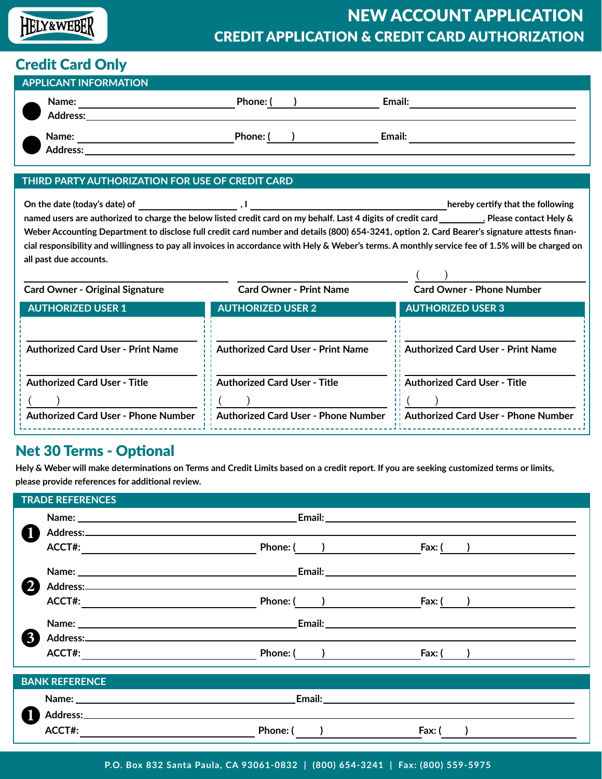# HELY&WEBER

# NEW ACCOUNT APPLICATION CREDIT APPLICATION & CREDIT CARD AUTHORIZATION

## Credit Card Only

| <b>APPLICANT INFORMATION</b> |                                 |        |  |        |  |
|------------------------------|---------------------------------|--------|--|--------|--|
|                              | <b>Name:</b><br>Address:        | Phone: |  | Email: |  |
|                              | <b>Name:</b><br><b>Address:</b> | Phone: |  | Email: |  |

#### **THIRD PARTY AUTHORIZATION FOR USE OF CREDIT CARD**

**On the date (today's date) of**  $\qquad \qquad$  **, I hereby certify that the following**  $\qquad \qquad$ **, I** 

named users are authorized to charge the below listed credit card on my behalf. Last 4 digits of credit card **\_\_\_\_\_\_\_\_**. Please contact Hely & **Weber Accounting Department to disclose full credit card number and details (800) 654-3241, option 2. Card Bearer's signature attests financial responsibility and willingness to pay all invoices in accordance with Hely & Weber's terms. A monthly service fee of 1.5% will be charged on all past due accounts.**

| <b>Card Owner - Original Signature</b>                                     | <b>Card Owner - Print Name</b>                                             | <b>Card Owner - Phone Number</b>                                                  |
|----------------------------------------------------------------------------|----------------------------------------------------------------------------|-----------------------------------------------------------------------------------|
| <b>AUTHORIZED USER 1</b>                                                   | <b>AUTHORIZED USER 2</b>                                                   | <b>AUTHORIZED USER 3</b>                                                          |
| <b>Authorized Card User - Print Name</b>                                   | <b>Authorized Card User - Print Name</b>                                   | <b>Authorized Card User - Print Name</b>                                          |
| <b>Authorized Card User - Title</b><br>Authorized Card User - Phone Number | <b>Authorized Card User - Title</b><br>Authorized Card User - Phone Number | <b>Authorized Card User - Title</b><br><b>Authorized Card User - Phone Number</b> |

### Net 30 Terms - Optional

**Hely & Weber will make determinations on Terms and Credit Limits based on a credit report. If you are seeking customized terms or limits, please provide references for additional review.**

| <b>TRADE REFERENCES</b> |                                                                                                               |  |  |  |
|-------------------------|---------------------------------------------------------------------------------------------------------------|--|--|--|
|                         |                                                                                                               |  |  |  |
|                         |                                                                                                               |  |  |  |
|                         | Fax: $($ )                                                                                                    |  |  |  |
|                         |                                                                                                               |  |  |  |
|                         |                                                                                                               |  |  |  |
|                         | Phone: ( <u>)</u><br>Fax: $($ )                                                                               |  |  |  |
|                         | <u>Email: Email: Alexander School (September 2008) (September 2008) (September 2008) (September 2008)</u>     |  |  |  |
|                         |                                                                                                               |  |  |  |
|                         | Fax: ( ) <u>_____________________</u>                                                                         |  |  |  |
| <b>BANK REFERENCE</b>   |                                                                                                               |  |  |  |
|                         |                                                                                                               |  |  |  |
|                         |                                                                                                               |  |  |  |
|                         | Phone: ( )<br>Fax: ( )                                                                                        |  |  |  |
|                         | Address: Note and the set of the set of the set of the set of the set of the set of the set of the set of the |  |  |  |